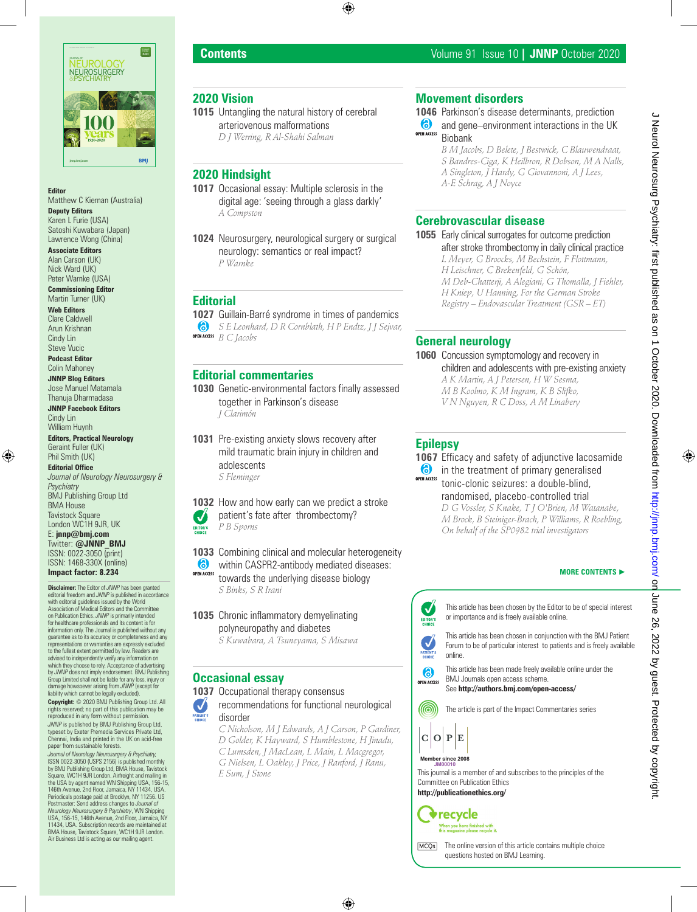

### **Editor**

Matthew C Kiernan (Australia)

**Deputy Editors** Karen L Furie (USA) Satoshi Kuwabara (Japan) Lawrence Wong (China)

**Associate Editors** Alan Carson (UK) Nick Ward (UK) Peter Warnke (USA)

**Commissioning Editor** Martin Turner (UK)

**Web Editors** Clare Caldwell Arun Krishnan Cindy Lin

Steve Vucic **Podcast Editor** Colin Mahoney

**JNNP Blog Editors** Jose Manuel Matamala Thanuja Dharmadasa

**JNNP Facebook Editors** Cindy Lin William Huynh

**Editors, Practical Neurology** Geraint Fuller (UK) Phil Smith (UK)

**Editorial Office** *Journal of Neurology Neurosurgery & Psychiatry* BMJ Publishing Group Ltd BMA House Tavistock Square London WC1H 9JR, UK E: **jnnp@bmj.com** Twitter: **@JNNP\_BMJ** ISSN: 0022-3050 (print) ISSN: 1468-330X (online) **Impact factor: 8.234**

**Disclaimer:** The Editor of *JNNP* has been granted editorial freedom and *JNNP* is published in accordance with editorial guidelines issued by the World Association of Medical Editors and the Committee on Publication Ethics. *JNNP* is primarily intended for healthcare professionals and its content is for information only. The Journal is published without any guarantee as to its accuracy or completeness and any representations or warranties are expressly excluded to the fullest extent permitted by law. Readers are advised to independently verify any information on which they choose to rely. Acceptance of advertising by *JNNP* does not imply endorsement. BMJ Publishing Group Limited shall not be liable for any loss, injury or damage howsoever arising from *JNNP* (except for liability which cannot be legally excluded).

**Copyright:** © 2020 BMJ Publishing Group Ltd. All rights reserved; no part of this publication may be reproduced in any form without permission.

*JNNP* is published by BMJ Publishing Group Ltd, typeset by Exeter Premedia Services Private Ltd, Chennai, India and printed in the UK on acid-free paper from sustainable forests.

*Journal of Neurology Neurosurgery & Psychiatry,*<br>ISSN 0022-3050 (USPS 2156) is published monthly<br>by BMJ Publishing Group Ltd, BMA House, Tavistock Square, WC1H 9JR London. Airfreight and mailing in the USA by agent named WN Shipping USA, 156-15, 146th Avenue, 2nd Floor, Jamaica, NY 11434, USA. Periodicals postage paid at Brooklyn, NY 11256. US Postmaster: Send address changes to *Journal of Neurology Neurosurgery & Psychiatry*, WN Shipping USA, 156-15, 146th Avenue, 2nd Floor, Jamaica, NY 11434, USA. Subscription records are maintained at BMA House, Tavistock Square, WC1H 9JR London. Air Business Ltd is acting as our mailing agent.

# **2020 Vision**

**1015** Untangling the natural history of cerebral arteriovenous malformations *D J Werring, R Al-Shahi Salman*

# **2020 Hindsight**

- **1017** Occasional essay: Multiple sclerosis in the digital age: 'seeing through a glass darkly' *A Compston*
- **1024** Neurosurgery, neurological surgery or surgical neurology: semantics or real impact? *P Warnke*

## **Editorial**

**1027** Guillain-Barré syndrome in times of pandemics *S E Leonhard, D R Cornblath, H P Endtz, J J Sejvar, B C Jacobs*

# **Editorial commentaries**

**1030** Genetic-environmental factors finally assessed together in Parkinson's disease *J Clarimón*

**1031** Pre-existing anxiety slows recovery after mild traumatic brain injury in children and adolescents *S Fleminger*

**1032** How and how early can we predict a stroke Ø patient's fate after thrombectomy? *P B Sporns* EDITOR'S

**1033** Combining clinical and molecular heterogeneity  $\bullet$ within CASPR2-antibody mediated diseases: OPEN ACCESS towards the underlying disease biology *S Binks, S R Irani*

**1035** Chronic inflammatory demyelinating polyneuropathy and diabetes *S Kuwabara, A Tsuneyama, S Misawa*

## **Occasional essay**

**1037** Occupational therapy consensus  $\boldsymbol{\mathcal{U}}$ recommendations for functional neurological disorder

> *C Nicholson, M J Edwards, A J Carson, P Gardiner, D Golder, K Hayward, S Humblestone, H Jinadu, C Lumsden, J MacLean, L Main, L Macgregor, G Nielsen, L Oakley, J Price, J Ranford, J Ranu, E Sum, J Stone*

# **Movement disorders**

**1046** Parkinson's disease determinants, prediction **and gene–environment interactions in the UK** OPEN ACCESS

Biobank *B M Jacobs, D Belete, J Bestwick, C Blauwendraat, S Bandres-Ciga, K Heilbron, R Dobson, M A Nalls, A Singleton, J Hardy, G Giovannoni, A J Lees, A-E Schrag, A J Noyce*

# **Cerebrovascular disease**

**1055** Early clinical surrogates for outcome prediction after stroke thrombectomy in daily clinical practice *L Meyer, G Broocks, M Bechstein, F Flottmann, H Leischner, C Brekenfeld, G Schön, M Deb-Chatterji, A Alegiani, G Thomalla, J Fiehler, H Kniep, U Hanning, For the German Stroke Registry – Endovascular Treatment (GSR – ET)*

# **General neurology**

**1060** Concussion symptomology and recovery in children and adolescents with pre-existing anxiety *A K Martin, A J Petersen, H W Sesma, M B Koolmo, K M Ingram, K B Slifko, V N Nguyen, R C Doss, A M Linabery*

# **Epilepsy**

**1067** Efficacy and safety of adjunctive lacosamide **i** in the treatment of primary generalised tonic-clonic seizures: a double-blind, randomised, placebo-controlled trial *D G Vossler, S Knake, T J O'Brien, M Watanabe, M Brock, B Steiniger-Brach, P Williams, R Roebling, On behalf of the SP0982 trial investigators*

### **MORE CONTENTS** ►



 $\odot$ BMJ Journals open access scheme. OPEN ACCESS See **http://authors.bmj.com/open-access/** 

@ The article is part of the Impact Commentaries series



# **Member since 2008 JM00017 Member since 2008 JM00010**



recycle

[MCQs] The online version of this article contains multiple choice questions hosted on BMJ Learning.